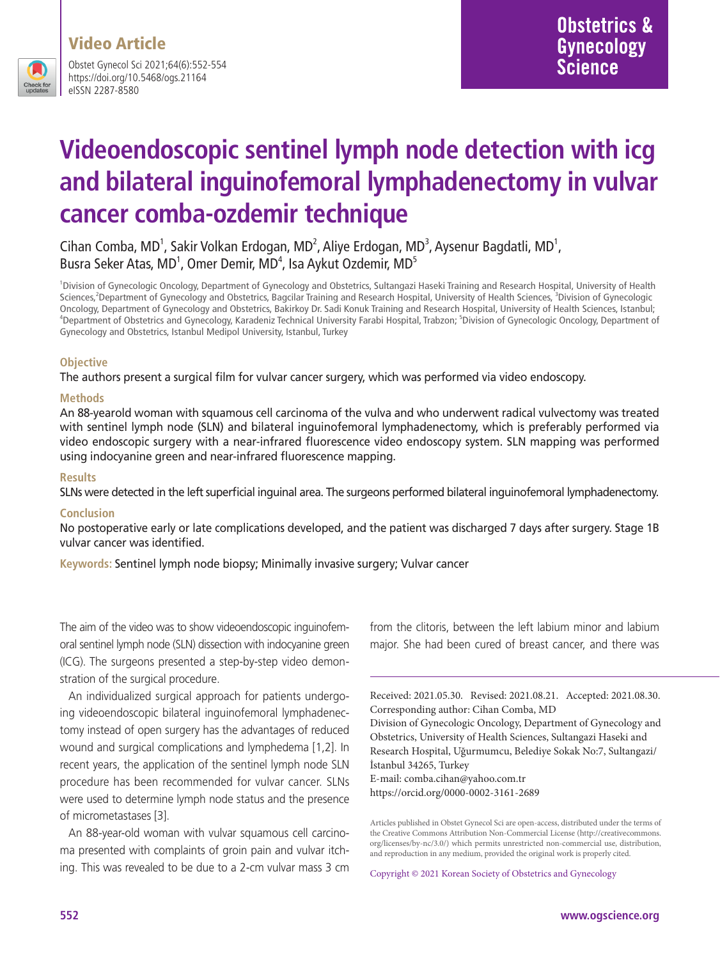

Obstet Gynecol Sci 2021;64(6):552-554 https://doi.org/10.5468/ogs.21164 eISSN 2287-8580

# **Videoendoscopic sentinel lymph node detection with icg and bilateral inguinofemoral lymphadenectomy in vulvar cancer comba-ozdemir technique**

#### Cihan Comba, MD<sup>1</sup>, Sakir Volkan Erdogan, MD<sup>2</sup>, Aliye Erdogan, MD<sup>3</sup>, Aysenur Bagdatli, MD<sup>1</sup>, Busra Seker Atas, MD<sup>1</sup>, Omer Demir, MD<sup>4</sup>, Isa Aykut Ozdemir, MD<sup>5</sup>

1 Division of Gynecologic Oncology, Department of Gynecology and Obstetrics, Sultangazi Haseki Training and Research Hospital, University of Health Sciences,<sup>2</sup>Department of Gynecology and Obstetrics, Bagcilar Training and Research Hospital, University of Health Sciences, <sup>3</sup>Division of Gynecologic Oncology, Department of Gynecology and Obstetrics, Bakirkoy Dr. Sadi Konuk Training and Research Hospital, University of Health Sciences, Istanbul; 4 Department of Obstetrics and Gynecology, Karadeniz Technical University Farabi Hospital, Trabzon; 5 Division of Gynecologic Oncology, Department of Gynecology and Obstetrics, Istanbul Medipol University, Istanbul, Turkey

#### **Objective**

The authors present a surgical film for vulvar cancer surgery, which was performed via video endoscopy.

#### **Methods**

An 88-yearold woman with squamous cell carcinoma of the vulva and who underwent radical vulvectomy was treated with sentinel lymph node (SLN) and bilateral inguinofemoral lymphadenectomy, which is preferably performed via video endoscopic surgery with a near-infrared fluorescence video endoscopy system. SLN mapping was performed using indocyanine green and near-infrared fluorescence mapping.

#### **Results**

SLNs were detected in the left superficial inguinal area. The surgeons performed bilateral inguinofemoral lymphadenectomy.

#### **Conclusion**

No postoperative early or late complications developed, and the patient was discharged 7 days after surgery. Stage 1B vulvar cancer was identified.

**Keywords:** Sentinel lymph node biopsy; Minimally invasive surgery; Vulvar cancer

The aim of the video was to show videoendoscopic inguinofemoral sentinel lymph node (SLN) dissection with indocyanine green (ICG). The surgeons presented a step-by-step video demonstration of the surgical procedure.

An individualized surgical approach for patients undergoing videoendoscopic bilateral inguinofemoral lymphadenectomy instead of open surgery has the advantages of reduced wound and surgical complications and lymphedema [1,2]. In recent years, the application of the sentinel lymph node SLN procedure has been recommended for vulvar cancer. SLNs were used to determine lymph node status and the presence of micrometastases [3].

An 88-year-old woman with vulvar squamous cell carcinoma presented with complaints of groin pain and vulvar itching. This was revealed to be due to a 2-cm vulvar mass 3 cm from the clitoris, between the left labium minor and labium major. She had been cured of breast cancer, and there was

Received: 2021.05.30. Revised: 2021.08.21. Accepted: 2021.08.30. Corresponding author: Cihan Comba, MD Division of Gynecologic Oncology, Department of Gynecology and Obstetrics, University of Health Sciences, Sultangazi Haseki and Research Hospital, Uğurmumcu, Belediye Sokak No:7, Sultangazi/ İstanbul 34265, Turkey E-mail: comba.cihan@yahoo.com.tr https://orcid.org/0000-0002-3161-2689

Articles published in Obstet Gynecol Sci are open-access, distributed under the terms of the Creative Commons Attribution Non-Commercial License (http://creativecommons. org/licenses/by-nc/3.0/) which permits unrestricted non-commercial use, distribution, and reproduction in any medium, provided the original work is properly cited.

Copyright © 2021 Korean Society of Obstetrics and Gynecology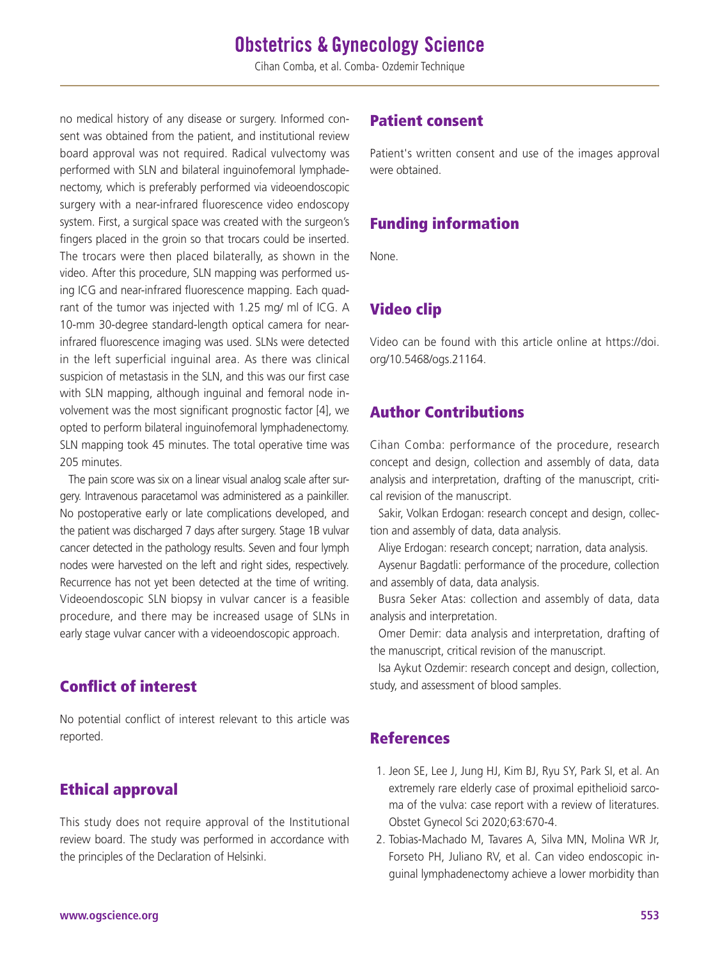## **Obstetrics & Gynecology Science**

Cihan Comba, et al. Comba- Ozdemir Technique

no medical history of any disease or surgery. Informed consent was obtained from the patient, and institutional review board approval was not required. Radical vulvectomy was performed with SLN and bilateral inguinofemoral lymphadenectomy, which is preferably performed via videoendoscopic surgery with a near-infrared fluorescence video endoscopy system. First, a surgical space was created with the surgeon's fingers placed in the groin so that trocars could be inserted. The trocars were then placed bilaterally, as shown in the video. After this procedure, SLN mapping was performed using ICG and near-infrared fluorescence mapping. Each quadrant of the tumor was injected with 1.25 mg/ ml of ICG. A 10-mm 30-degree standard-length optical camera for nearinfrared fluorescence imaging was used. SLNs were detected in the left superficial inguinal area. As there was clinical suspicion of metastasis in the SLN, and this was our first case with SLN mapping, although inguinal and femoral node involvement was the most significant prognostic factor [4], we opted to perform bilateral inguinofemoral lymphadenectomy. SLN mapping took 45 minutes. The total operative time was 205 minutes.

The pain score was six on a linear visual analog scale after surgery. Intravenous paracetamol was administered as a painkiller. No postoperative early or late complications developed, and the patient was discharged 7 days after surgery. Stage 1B vulvar cancer detected in the pathology results. Seven and four lymph nodes were harvested on the left and right sides, respectively. Recurrence has not yet been detected at the time of writing. Videoendoscopic SLN biopsy in vulvar cancer is a feasible procedure, and there may be increased usage of SLNs in early stage vulvar cancer with a videoendoscopic approach.

### Conflict of interest

No potential conflict of interest relevant to this article was reported.

### Ethical approval

This study does not require approval of the Institutional review board. The study was performed in accordance with the principles of the Declaration of Helsinki.

#### Patient consent

Patient's written consent and use of the images approval were obtained.

### Funding information

None.

### Video clip

Video can be found with this article online at https://doi. org/10.5468/ogs.21164.

#### Author Contributions

Cihan Comba: performance of the procedure, research concept and design, collection and assembly of data, data analysis and interpretation, drafting of the manuscript, critical revision of the manuscript.

Sakir, Volkan Erdogan: research concept and design, collection and assembly of data, data analysis.

Aliye Erdogan: research concept; narration, data analysis.

Aysenur Bagdatli: performance of the procedure, collection and assembly of data, data analysis.

Busra Seker Atas: collection and assembly of data, data analysis and interpretation.

Omer Demir: data analysis and interpretation, drafting of the manuscript, critical revision of the manuscript.

Isa Aykut Ozdemir: research concept and design, collection, study, and assessment of blood samples.

### References

- 1. Jeon SE, Lee J, Jung HJ, Kim BJ, Ryu SY, Park SI, et al. An extremely rare elderly case of proximal epithelioid sarcoma of the vulva: case report with a review of literatures. Obstet Gynecol Sci 2020;63:670-4.
- 2. Tobias-Machado M, Tavares A, Silva MN, Molina WR Jr, Forseto PH, Juliano RV, et al. Can video endoscopic inguinal lymphadenectomy achieve a lower morbidity than